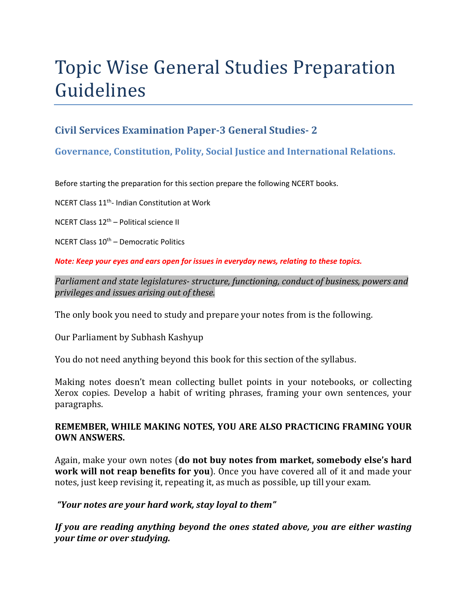# Topic Wise General Studies Preparation Guidelines

# **Civil Services Examination Paper-3 General Studies- 2**

## **Governance, Constitution, Polity, Social Justice and International Relations.**

Before starting the preparation for this section prepare the following NCERT books.

NCERT Class 11th- Indian Constitution at Work

NCERT Class 12th – Political science II

NCERT Class  $10<sup>th</sup>$  – Democratic Politics

*Note: Keep your eyes and ears open for issues in everyday news, relating to these topics.* 

*Parliament and state legislatures- structure, functioning, conduct of business, powers and privileges and issues arising out of these.* 

The only book you need to study and prepare your notes from is the following.

Our Parliament by Subhash Kashyup

You do not need anything beyond this book for this section of the syllabus.

Making notes doesn't mean collecting bullet points in your notebooks, or collecting Xerox copies. Develop a habit of writing phrases, framing your own sentences, your paragraphs.

### **REMEMBER, WHILE MAKING NOTES, YOU ARE ALSO PRACTICING FRAMING YOUR OWN ANSWERS.**

Again, make your own notes (**do not buy notes from market, somebody else's hard work will not reap benefits for you**). Once you have covered all of it and made your notes, just keep revising it, repeating it, as much as possible, up till your exam.

### *"Your notes are your hard work, stay loyal to them"*

*If you are reading anything beyond the ones stated above, you are either wasting your time or over studying.*